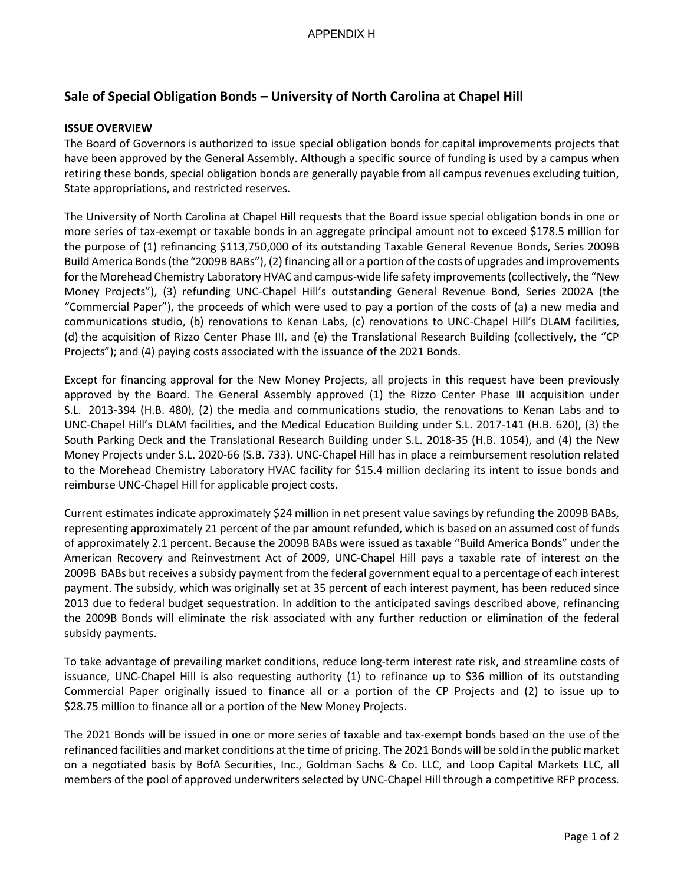# **Sale of Special Obligation Bonds – University of North Carolina at Chapel Hill**

# **ISSUE OVERVIEW**

The Board of Governors is authorized to issue special obligation bonds for capital improvements projects that have been approved by the General Assembly. Although a specific source of funding is used by a campus when retiring these bonds, special obligation bonds are generally payable from all campus revenues excluding tuition, State appropriations, and restricted reserves.

The University of North Carolina at Chapel Hill requests that the Board issue special obligation bonds in one or more series of tax-exempt or taxable bonds in an aggregate principal amount not to exceed \$178.5 million for the purpose of (1) refinancing \$113,750,000 of its outstanding Taxable General Revenue Bonds, Series 2009B Build America Bonds(the "2009B BABs"), (2) financing all or a portion of the costs of upgrades and improvements for the Morehead Chemistry Laboratory HVAC and campus-wide life safety improvements (collectively, the "New Money Projects"), (3) refunding UNC-Chapel Hill's outstanding General Revenue Bond, Series 2002A (the "Commercial Paper"), the proceeds of which were used to pay a portion of the costs of (a) a new media and communications studio, (b) renovations to Kenan Labs, (c) renovations to UNC-Chapel Hill's DLAM facilities, (d) the acquisition of Rizzo Center Phase III, and (e) the Translational Research Building (collectively, the "CP Projects"); and (4) paying costs associated with the issuance of the 2021 Bonds.

Except for financing approval for the New Money Projects, all projects in this request have been previously approved by the Board. The General Assembly approved (1) the Rizzo Center Phase III acquisition under S.L. 2013-394 (H.B. 480), (2) the media and communications studio, the renovations to Kenan Labs and to UNC-Chapel Hill's DLAM facilities, and the Medical Education Building under S.L. 2017-141 (H.B. 620), (3) the South Parking Deck and the Translational Research Building under S.L. 2018-35 (H.B. 1054), and (4) the New Money Projects under S.L. 2020-66 (S.B. 733). UNC-Chapel Hill has in place a reimbursement resolution related to the Morehead Chemistry Laboratory HVAC facility for \$15.4 million declaring its intent to issue bonds and reimburse UNC-Chapel Hill for applicable project costs.

Current estimates indicate approximately \$24 million in net present value savings by refunding the 2009B BABs, representing approximately 21 percent of the par amount refunded, which is based on an assumed cost of funds of approximately 2.1 percent. Because the 2009B BABs were issued as taxable "Build America Bonds" under the American Recovery and Reinvestment Act of 2009, UNC-Chapel Hill pays a taxable rate of interest on the 2009B BABs but receives a subsidy payment from the federal government equal to a percentage of each interest payment. The subsidy, which was originally set at 35 percent of each interest payment, has been reduced since 2013 due to federal budget sequestration. In addition to the anticipated savings described above, refinancing the 2009B Bonds will eliminate the risk associated with any further reduction or elimination of the federal subsidy payments.

To take advantage of prevailing market conditions, reduce long-term interest rate risk, and streamline costs of issuance, UNC-Chapel Hill is also requesting authority (1) to refinance up to \$36 million of its outstanding Commercial Paper originally issued to finance all or a portion of the CP Projects and (2) to issue up to \$28.75 million to finance all or a portion of the New Money Projects.

The 2021 Bonds will be issued in one or more series of taxable and tax-exempt bonds based on the use of the refinanced facilities and market conditions at the time of pricing. The 2021 Bonds will be sold in the public market on a negotiated basis by BofA Securities, Inc., Goldman Sachs & Co. LLC, and Loop Capital Markets LLC, all members of the pool of approved underwriters selected by UNC-Chapel Hill through a competitive RFP process.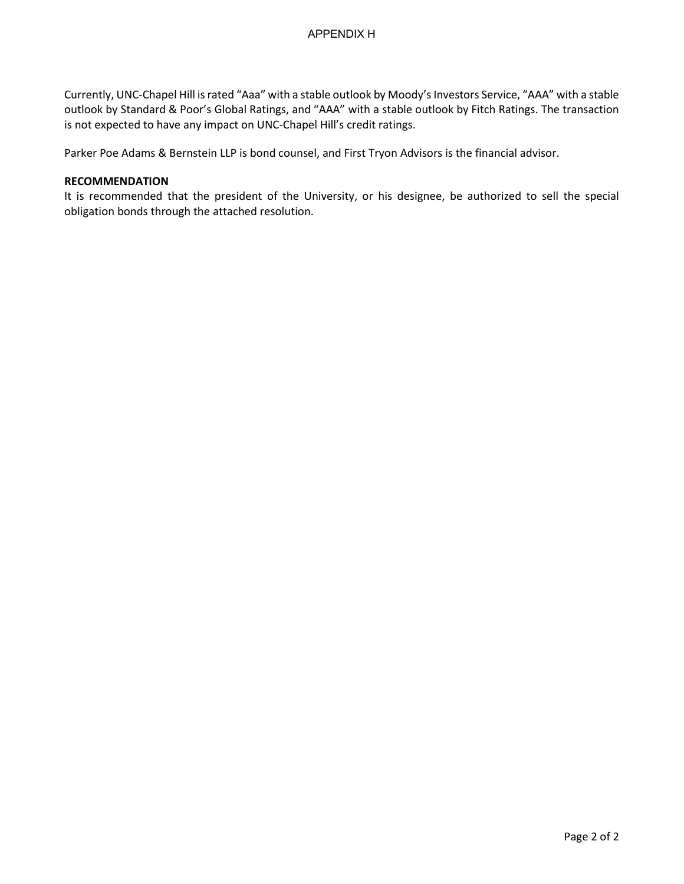Currently, UNC-Chapel Hill is rated "Aaa" with a stable outlook by Moody's Investors Service, "AAA" with a stable outlook by Standard & Poor's Global Ratings, and "AAA" with a stable outlook by Fitch Ratings. The transaction is not expected to have any impact on UNC-Chapel Hill's credit ratings.

Parker Poe Adams & Bernstein LLP is bond counsel, and First Tryon Advisors is the financial advisor.

### **RECOMMENDATION**

It is recommended that the president of the University, or his designee, be authorized to sell the special obligation bonds through the attached resolution.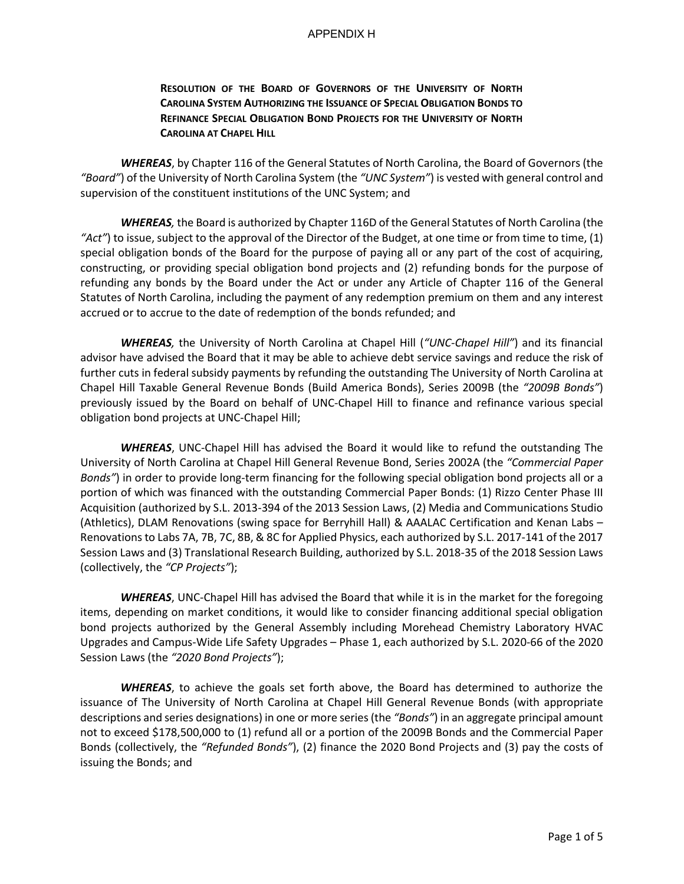# **RESOLUTION OF THE BOARD OF GOVERNORS OF THE UNIVERSITY OF NORTH CAROLINA SYSTEM AUTHORIZING THE ISSUANCE OF SPECIAL OBLIGATION BONDS TO REFINANCE SPECIAL OBLIGATION BOND PROJECTS FOR THE UNIVERSITY OF NORTH CAROLINA AT CHAPEL HILL**

*WHEREAS*, by Chapter 116 of the General Statutes of North Carolina, the Board of Governors (the *"Board"*) of the University of North Carolina System (the *"UNC System"*) is vested with general control and supervision of the constituent institutions of the UNC System; and

*WHEREAS,* the Board is authorized by Chapter 116D of the General Statutes of North Carolina (the *"Act"*) to issue, subject to the approval of the Director of the Budget, at one time or from time to time, (1) special obligation bonds of the Board for the purpose of paying all or any part of the cost of acquiring, constructing, or providing special obligation bond projects and (2) refunding bonds for the purpose of refunding any bonds by the Board under the Act or under any Article of Chapter 116 of the General Statutes of North Carolina, including the payment of any redemption premium on them and any interest accrued or to accrue to the date of redemption of the bonds refunded; and

*WHEREAS,* the University of North Carolina at Chapel Hill (*"UNC-Chapel Hill"*) and its financial advisor have advised the Board that it may be able to achieve debt service savings and reduce the risk of further cuts in federal subsidy payments by refunding the outstanding The University of North Carolina at Chapel Hill Taxable General Revenue Bonds (Build America Bonds), Series 2009B (the *"2009B Bonds"*) previously issued by the Board on behalf of UNC-Chapel Hill to finance and refinance various special obligation bond projects at UNC-Chapel Hill;

*WHEREAS*, UNC-Chapel Hill has advised the Board it would like to refund the outstanding The University of North Carolina at Chapel Hill General Revenue Bond, Series 2002A (the *"Commercial Paper Bonds"*) in order to provide long-term financing for the following special obligation bond projects all or a portion of which was financed with the outstanding Commercial Paper Bonds: (1) Rizzo Center Phase III Acquisition (authorized by S.L. 2013-394 of the 2013 Session Laws, (2) Media and Communications Studio (Athletics), DLAM Renovations (swing space for Berryhill Hall) & AAALAC Certification and Kenan Labs – Renovations to Labs 7A, 7B, 7C, 8B, & 8C for Applied Physics, each authorized by S.L. 2017-141 of the 2017 Session Laws and (3) Translational Research Building, authorized by S.L. 2018-35 of the 2018 Session Laws (collectively, the *"CP Projects"*);

*WHEREAS*, UNC-Chapel Hill has advised the Board that while it is in the market for the foregoing items, depending on market conditions, it would like to consider financing additional special obligation bond projects authorized by the General Assembly including Morehead Chemistry Laboratory HVAC Upgrades and Campus-Wide Life Safety Upgrades – Phase 1, each authorized by S.L. 2020-66 of the 2020 Session Laws (the *"2020 Bond Projects"*);

*WHEREAS*, to achieve the goals set forth above, the Board has determined to authorize the issuance of The University of North Carolina at Chapel Hill General Revenue Bonds (with appropriate descriptions and series designations) in one or more series (the *"Bonds"*) in an aggregate principal amount not to exceed \$178,500,000 to (1) refund all or a portion of the 2009B Bonds and the Commercial Paper Bonds (collectively, the *"Refunded Bonds"*), (2) finance the 2020 Bond Projects and (3) pay the costs of issuing the Bonds; and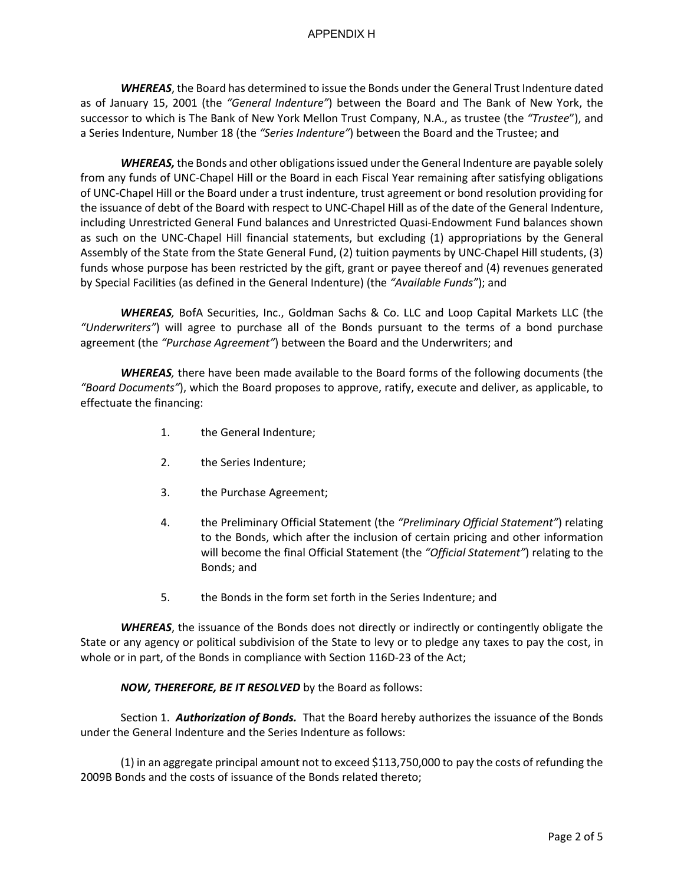*WHEREAS*, the Board has determined to issue the Bonds under the General Trust Indenture dated as of January 15, 2001 (the *"General Indenture"*) between the Board and The Bank of New York, the successor to which is The Bank of New York Mellon Trust Company, N.A., as trustee (the *"Trustee*"), and a Series Indenture, Number 18 (the *"Series Indenture"*) between the Board and the Trustee; and

*WHEREAS,* the Bonds and other obligations issued under the General Indenture are payable solely from any funds of UNC-Chapel Hill or the Board in each Fiscal Year remaining after satisfying obligations of UNC-Chapel Hill or the Board under a trust indenture, trust agreement or bond resolution providing for the issuance of debt of the Board with respect to UNC-Chapel Hill as of the date of the General Indenture, including Unrestricted General Fund balances and Unrestricted Quasi-Endowment Fund balances shown as such on the UNC-Chapel Hill financial statements, but excluding (1) appropriations by the General Assembly of the State from the State General Fund, (2) tuition payments by UNC-Chapel Hill students, (3) funds whose purpose has been restricted by the gift, grant or payee thereof and (4) revenues generated by Special Facilities (as defined in the General Indenture) (the *"Available Funds"*); and

*WHEREAS,* BofA Securities, Inc., Goldman Sachs & Co. LLC and Loop Capital Markets LLC (the *"Underwriters"*) will agree to purchase all of the Bonds pursuant to the terms of a bond purchase agreement (the *"Purchase Agreement"*) between the Board and the Underwriters; and

*WHEREAS,* there have been made available to the Board forms of the following documents (the *"Board Documents"*), which the Board proposes to approve, ratify, execute and deliver, as applicable, to effectuate the financing:

- 1. the General Indenture;
- 2. the Series Indenture;
- 3. the Purchase Agreement;
- 4. the Preliminary Official Statement (the *"Preliminary Official Statement"*) relating to the Bonds, which after the inclusion of certain pricing and other information will become the final Official Statement (the *"Official Statement"*) relating to the Bonds; and
- 5. the Bonds in the form set forth in the Series Indenture; and

*WHEREAS*, the issuance of the Bonds does not directly or indirectly or contingently obligate the State or any agency or political subdivision of the State to levy or to pledge any taxes to pay the cost, in whole or in part, of the Bonds in compliance with Section 116D-23 of the Act;

## *NOW, THEREFORE, BE IT RESOLVED* by the Board as follows:

Section 1. *Authorization of Bonds.* That the Board hereby authorizes the issuance of the Bonds under the General Indenture and the Series Indenture as follows:

(1) in an aggregate principal amount not to exceed \$113,750,000 to pay the costs of refunding the 2009B Bonds and the costs of issuance of the Bonds related thereto;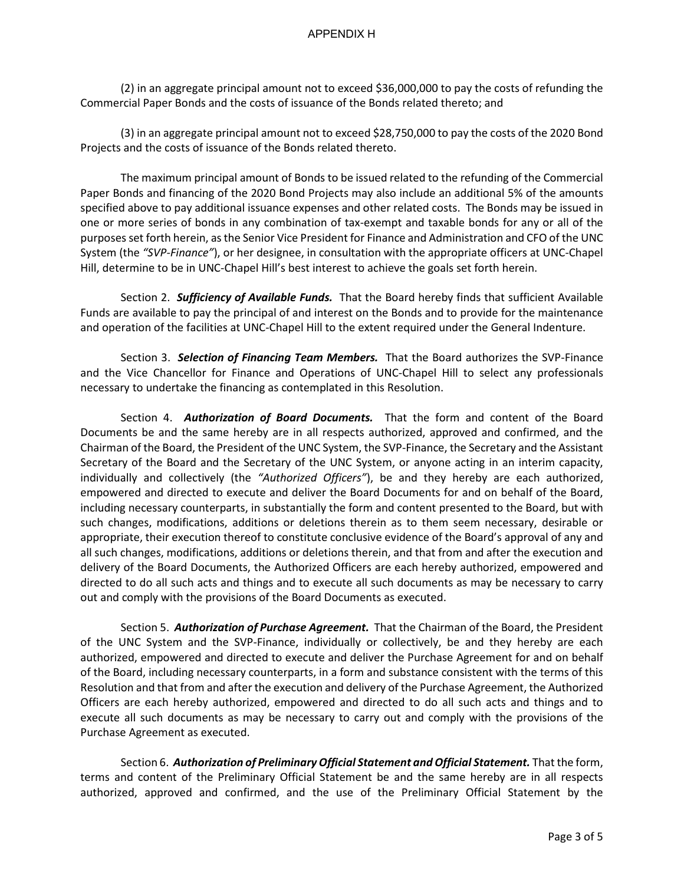(2) in an aggregate principal amount not to exceed \$36,000,000 to pay the costs of refunding the Commercial Paper Bonds and the costs of issuance of the Bonds related thereto; and

(3) in an aggregate principal amount not to exceed \$28,750,000 to pay the costs of the 2020 Bond Projects and the costs of issuance of the Bonds related thereto.

The maximum principal amount of Bonds to be issued related to the refunding of the Commercial Paper Bonds and financing of the 2020 Bond Projects may also include an additional 5% of the amounts specified above to pay additional issuance expenses and other related costs. The Bonds may be issued in one or more series of bonds in any combination of tax-exempt and taxable bonds for any or all of the purposes set forth herein, as the Senior Vice President for Finance and Administration and CFO of the UNC System (the *"SVP-Finance"*), or her designee, in consultation with the appropriate officers at UNC-Chapel Hill, determine to be in UNC-Chapel Hill's best interest to achieve the goals set forth herein.

Section 2. *Sufficiency of Available Funds.* That the Board hereby finds that sufficient Available Funds are available to pay the principal of and interest on the Bonds and to provide for the maintenance and operation of the facilities at UNC-Chapel Hill to the extent required under the General Indenture.

Section 3. *Selection of Financing Team Members.* That the Board authorizes the SVP-Finance and the Vice Chancellor for Finance and Operations of UNC-Chapel Hill to select any professionals necessary to undertake the financing as contemplated in this Resolution.

Section 4. *Authorization of Board Documents.* That the form and content of the Board Documents be and the same hereby are in all respects authorized, approved and confirmed, and the Chairman of the Board, the President of the UNC System, the SVP-Finance, the Secretary and the Assistant Secretary of the Board and the Secretary of the UNC System, or anyone acting in an interim capacity, individually and collectively (the *"Authorized Officers"*), be and they hereby are each authorized, empowered and directed to execute and deliver the Board Documents for and on behalf of the Board, including necessary counterparts, in substantially the form and content presented to the Board, but with such changes, modifications, additions or deletions therein as to them seem necessary, desirable or appropriate, their execution thereof to constitute conclusive evidence of the Board's approval of any and all such changes, modifications, additions or deletions therein, and that from and after the execution and delivery of the Board Documents, the Authorized Officers are each hereby authorized, empowered and directed to do all such acts and things and to execute all such documents as may be necessary to carry out and comply with the provisions of the Board Documents as executed.

Section 5. *Authorization of Purchase Agreement.* That the Chairman of the Board, the President of the UNC System and the SVP-Finance, individually or collectively, be and they hereby are each authorized, empowered and directed to execute and deliver the Purchase Agreement for and on behalf of the Board, including necessary counterparts, in a form and substance consistent with the terms of this Resolution and that from and after the execution and delivery of the Purchase Agreement, the Authorized Officers are each hereby authorized, empowered and directed to do all such acts and things and to execute all such documents as may be necessary to carry out and comply with the provisions of the Purchase Agreement as executed.

Section 6. **Authorization of Preliminary Official Statement and Official Statement.** That the form, terms and content of the Preliminary Official Statement be and the same hereby are in all respects authorized, approved and confirmed, and the use of the Preliminary Official Statement by the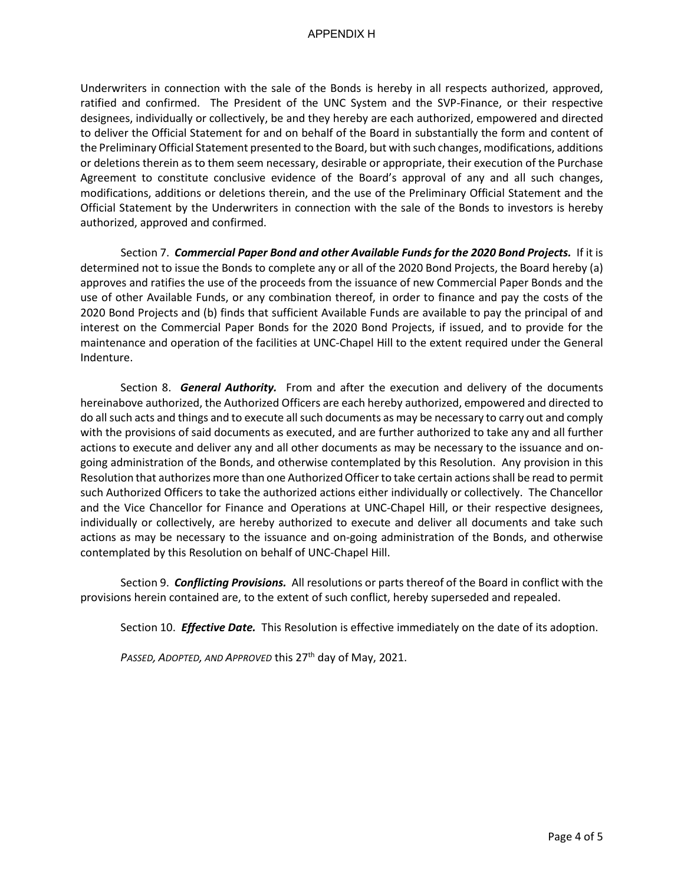Underwriters in connection with the sale of the Bonds is hereby in all respects authorized, approved, ratified and confirmed. The President of the UNC System and the SVP-Finance, or their respective designees, individually or collectively, be and they hereby are each authorized, empowered and directed to deliver the Official Statement for and on behalf of the Board in substantially the form and content of the Preliminary Official Statement presented to the Board, but with such changes, modifications, additions or deletions therein as to them seem necessary, desirable or appropriate, their execution of the Purchase Agreement to constitute conclusive evidence of the Board's approval of any and all such changes, modifications, additions or deletions therein, and the use of the Preliminary Official Statement and the Official Statement by the Underwriters in connection with the sale of the Bonds to investors is hereby authorized, approved and confirmed.

Section 7. *Commercial Paper Bond and other Available Funds for the 2020 Bond Projects.* If it is determined not to issue the Bonds to complete any or all of the 2020 Bond Projects, the Board hereby (a) approves and ratifies the use of the proceeds from the issuance of new Commercial Paper Bonds and the use of other Available Funds, or any combination thereof, in order to finance and pay the costs of the 2020 Bond Projects and (b) finds that sufficient Available Funds are available to pay the principal of and interest on the Commercial Paper Bonds for the 2020 Bond Projects, if issued, and to provide for the maintenance and operation of the facilities at UNC-Chapel Hill to the extent required under the General Indenture.

Section 8. *General Authority.* From and after the execution and delivery of the documents hereinabove authorized, the Authorized Officers are each hereby authorized, empowered and directed to do all such acts and things and to execute all such documents as may be necessary to carry out and comply with the provisions of said documents as executed, and are further authorized to take any and all further actions to execute and deliver any and all other documents as may be necessary to the issuance and ongoing administration of the Bonds, and otherwise contemplated by this Resolution. Any provision in this Resolution that authorizes more than one Authorized Officer to take certain actions shall be read to permit such Authorized Officers to take the authorized actions either individually or collectively. The Chancellor and the Vice Chancellor for Finance and Operations at UNC-Chapel Hill, or their respective designees, individually or collectively, are hereby authorized to execute and deliver all documents and take such actions as may be necessary to the issuance and on-going administration of the Bonds, and otherwise contemplated by this Resolution on behalf of UNC-Chapel Hill.

Section 9. *Conflicting Provisions.* All resolutions or parts thereof of the Board in conflict with the provisions herein contained are, to the extent of such conflict, hereby superseded and repealed.

Section 10. *Effective Date.* This Resolution is effective immediately on the date of its adoption.

 *PASSED, ADOPTED, AND APPROVED* this 27th day of May, 2021.